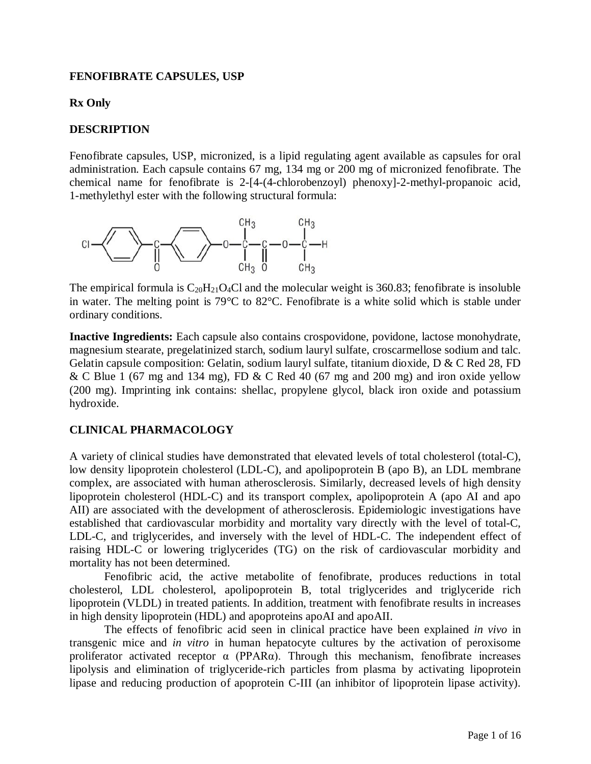# <span id="page-0-0"></span>**FENOFIBRATE CAPSULES, USP**

# **Rx Only**

# **DESCRIPTION**

Fenofibrate capsules, USP, micronized, is a lipid regulating agent available as capsules for oral administration. Each capsule contains 67 mg, 134 mg or 200 mg of micronized fenofibrate. The chemical name for fenofibrate is 2-[4-(4-chlorobenzoyl) phenoxy]-2-methyl-propanoic acid, 1-methylethyl ester with the following structural formula:



The empirical formula is  $C_{20}H_{21}O_4Cl$  and the molecular weight is 360.83; fenofibrate is insoluble in water. The melting point is 79°C to 82°C. Fenofibrate is a white solid which is stable under ordinary conditions.

**Inactive Ingredients:** Each capsule also contains crospovidone, povidone, lactose monohydrate, magnesium stearate, pregelatinized starch, sodium lauryl sulfate, croscarmellose sodium and talc. Gelatin capsule composition: Gelatin, sodium lauryl sulfate, titanium dioxide, D & C Red 28, FD & C Blue 1 (67 mg and 134 mg), FD & C Red 40 (67 mg and 200 mg) and iron oxide yellow (200 mg). Imprinting ink contains: shellac, propylene glycol, black iron oxide and potassium hydroxide.

# **CLINICAL PHARMACOLOGY**

A variety of clinical studies have demonstrated that elevated levels of total cholesterol (total-C), low density lipoprotein cholesterol (LDL-C), and apolipoprotein B (apo B), an LDL membrane complex, are associated with human atherosclerosis. Similarly, decreased levels of high density lipoprotein cholesterol (HDL-C) and its transport complex, apolipoprotein A (apo AI and apo AII) are associated with the development of atherosclerosis. Epidemiologic investigations have established that cardiovascular morbidity and mortality vary directly with the level of total-C, LDL-C, and triglycerides, and inversely with the level of HDL-C. The independent effect of raising HDL-C or lowering triglycerides (TG) on the risk of cardiovascular morbidity and mortality has not been determined.

Fenofibric acid, the active metabolite of fenofibrate, produces reductions in total cholesterol, LDL cholesterol, apolipoprotein B, total triglycerides and triglyceride rich lipoprotein (VLDL) in treated patients. In addition, treatment with fenofibrate results in increases in high density lipoprotein (HDL) and apoproteins apoAI and apoAII.

The effects of fenofibric acid seen in clinical practice have been explained *in vivo* in transgenic mice and *in vitro* in human hepatocyte cultures by the activation of peroxisome proliferator activated receptor  $\alpha$  (PPAR $\alpha$ ). Through this mechanism, fenofibrate increases lipolysis and elimination of triglyceride-rich particles from plasma by activating lipoprotein lipase and reducing production of apoprotein C-III (an inhibitor of lipoprotein lipase activity).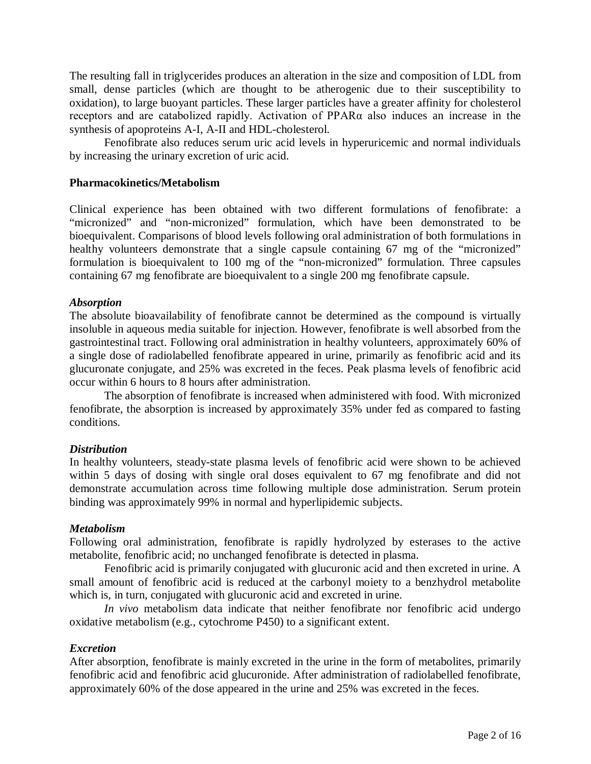The resulting fall in triglycerides produces an alteration in the size and composition of LDL from small, dense particles (which are thought to be atherogenic due to their susceptibility to oxidation), to large buoyant particles. These larger particles have a greater affinity for cholesterol receptors and are catabolized rapidly. Activation of PPARα also induces an increase in the synthesis of apoproteins A-I, A-II and HDL-cholesterol.

Fenofibrate also reduces serum uric acid levels in hyperuricemic and normal individuals by increasing the urinary excretion of uric acid.

## **Pharmacokinetics/Metabolism**

Clinical experience has been obtained with two different formulations of fenofibrate: a "micronized" and "non-micronized" formulation, which have been demonstrated to be bioequivalent. Comparisons of blood levels following oral administration of both formulations in healthy volunteers demonstrate that a single capsule containing 67 mg of the "micronized" formulation is bioequivalent to 100 mg of the "non-micronized" formulation. Three capsules containing 67 mg fenofibrate are bioequivalent to a single 200 mg fenofibrate capsule.

#### *Absorption*

The absolute bioavailability of fenofibrate cannot be determined as the compound is virtually insoluble in aqueous media suitable for injection. However, fenofibrate is well absorbed from the gastrointestinal tract. Following oral administration in healthy volunteers, approximately 60% of a single dose of radiolabelled fenofibrate appeared in urine, primarily as fenofibric acid and its glucuronate conjugate, and 25% was excreted in the feces. Peak plasma levels of fenofibric acid occur within 6 hours to 8 hours after administration.

The absorption of fenofibrate is increased when administered with food. With micronized fenofibrate, the absorption is increased by approximately 35% under fed as compared to fasting conditions.

#### *Distribution*

In healthy volunteers, steady-state plasma levels of fenofibric acid were shown to be achieved within 5 days of dosing with single oral doses equivalent to 67 mg fenofibrate and did not demonstrate accumulation across time following multiple dose administration. Serum protein binding was approximately 99% in normal and hyperlipidemic subjects.

#### *Metabolism*

Following oral administration, fenofibrate is rapidly hydrolyzed by esterases to the active metabolite, fenofibric acid; no unchanged fenofibrate is detected in plasma.

Fenofibric acid is primarily conjugated with glucuronic acid and then excreted in urine. A small amount of fenofibric acid is reduced at the carbonyl moiety to a benzhydrol metabolite which is, in turn, conjugated with glucuronic acid and excreted in urine.

*In vivo* metabolism data indicate that neither fenofibrate nor fenofibric acid undergo oxidative metabolism (e.g., cytochrome P450) to a significant extent.

# *Excretion*

After absorption, fenofibrate is mainly excreted in the urine in the form of metabolites, primarily fenofibric acid and fenofibric acid glucuronide. After administration of radiolabelled fenofibrate, approximately 60% of the dose appeared in the urine and 25% was excreted in the feces.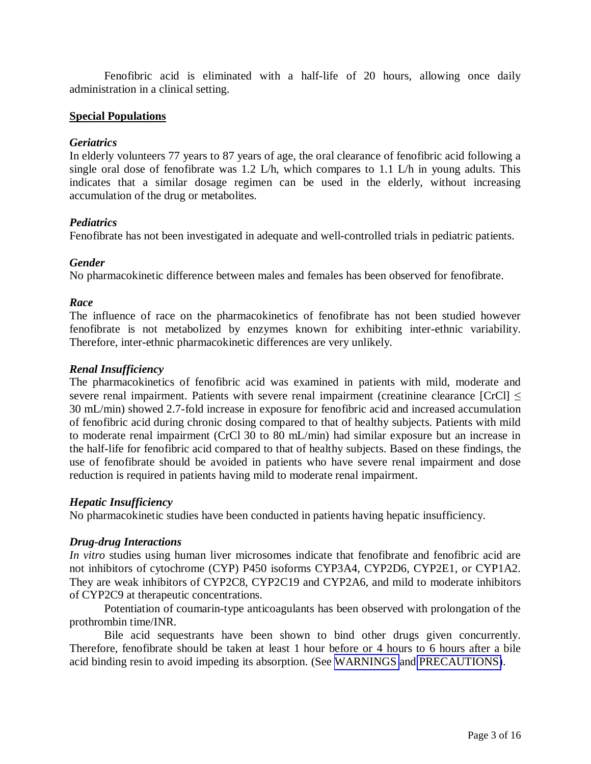<span id="page-2-2"></span><span id="page-2-1"></span><span id="page-2-0"></span>Fenofibric acid is eliminated with a half-life of 20 hours, allowing once daily administration in a clinical setting.

## **Special Populations**

## *Geriatrics*

In elderly volunteers 77 years to 87 years of age, the oral clearance of fenofibric acid following a single oral dose of fenofibrate was 1.2 L/h, which compares to 1.1 L/h in young adults. This indicates that a similar dosage regimen can be used in the elderly, without increasing accumulation of the drug or metabolites.

#### *Pediatrics*

Fenofibrate has not been investigated in adequate and well-controlled trials in pediatric patients.

#### *Gender*

No pharmacokinetic difference between males and females has been observed for fenofibrate.

#### *Race*

The influence of race on the pharmacokinetics of fenofibrate has not been studied however fenofibrate is not metabolized by enzymes known for exhibiting inter-ethnic variability. Therefore, inter-ethnic pharmacokinetic differences are very unlikely.

#### *Renal Insufficiency*

The pharmacokinetics of fenofibric acid was examined in patients with mild, moderate and severe renal impairment. Patients with severe renal impairment (creatinine clearance  $|CrCl| \le$ 30 mL/min) showed 2.7-fold increase in exposure for fenofibric acid and increased accumulation of fenofibric acid during chronic dosing compared to that of healthy subjects. Patients with mild to moderate renal impairment (CrCl 30 to 80 mL/min) had similar exposure but an increase in the half-life for fenofibric acid compared to that of healthy subjects. Based on these findings, the use of fenofibrate should be avoided in patients who have severe renal impairment and dose reduction is required in patients having mild to moderate renal impairment.

#### *Hepatic Insufficiency*

No pharmacokinetic studies have been conducted in patients having hepatic insufficiency.

#### *Drug-drug Interactions*

*In vitro* studies using human liver microsomes indicate that fenofibrate and fenofibric acid are not inhibitors of cytochrome (CYP) P450 isoforms CYP3A4, CYP2D6, CYP2E1, or CYP1A2. They are weak inhibitors of CYP2C8, CYP2C19 and CYP2A6, and mild to moderate inhibitors of CYP2C9 at therapeutic concentrations.

Potentiation of coumarin-type anticoagulants has been observed with prolongation of the prothrombin time/INR.

Bile acid sequestrants have been shown to bind other drugs given concurrently. Therefore, fenofibrate should be taken at least 1 hour before or 4 hours to 6 hours after a bile acid binding resin to avoid impeding its absorption. (See [WARNINGS](#page-6-0) and [PRECAUTIONS\)](#page-9-0).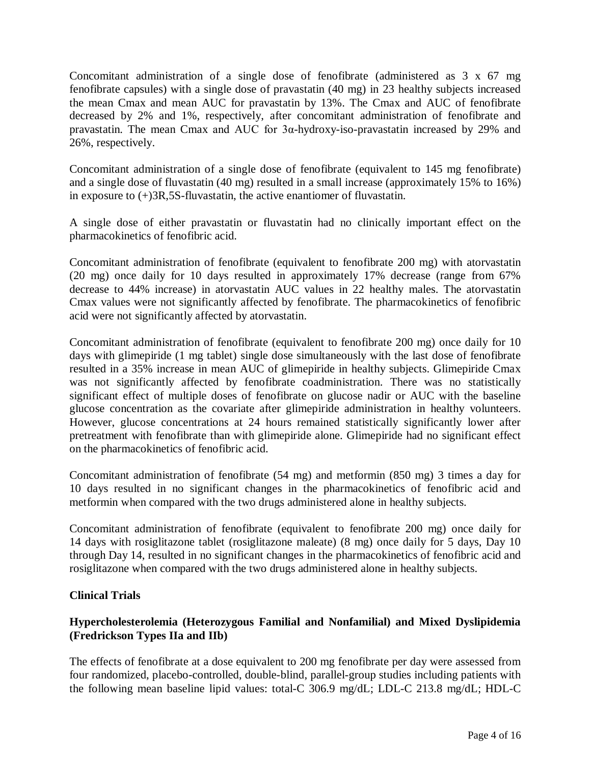Concomitant administration of a single dose of fenofibrate (administered as 3 x 67 mg fenofibrate capsules) with a single dose of pravastatin (40 mg) in 23 healthy subjects increased the mean Cmax and mean AUC for pravastatin by 13%. The Cmax and AUC of fenofibrate decreased by 2% and 1%, respectively, after concomitant administration of fenofibrate and pravastatin. The mean Cmax and AUC for 3α-hydroxy-iso-pravastatin increased by 29% and 26%, respectively.

Concomitant administration of a single dose of fenofibrate (equivalent to 145 mg fenofibrate) and a single dose of fluvastatin (40 mg) resulted in a small increase (approximately 15% to 16%) in exposure to (+)3R,5S-fluvastatin, the active enantiomer of fluvastatin.

A single dose of either pravastatin or fluvastatin had no clinically important effect on the pharmacokinetics of fenofibric acid.

Concomitant administration of fenofibrate (equivalent to fenofibrate 200 mg) with atorvastatin (20 mg) once daily for 10 days resulted in approximately 17% decrease (range from 67% decrease to 44% increase) in atorvastatin AUC values in 22 healthy males. The atorvastatin Cmax values were not significantly affected by fenofibrate. The pharmacokinetics of fenofibric acid were not significantly affected by atorvastatin.

Concomitant administration of fenofibrate (equivalent to fenofibrate 200 mg) once daily for 10 days with glimepiride (1 mg tablet) single dose simultaneously with the last dose of fenofibrate resulted in a 35% increase in mean AUC of glimepiride in healthy subjects. Glimepiride Cmax was not significantly affected by fenofibrate coadministration. There was no statistically significant effect of multiple doses of fenofibrate on glucose nadir or AUC with the baseline glucose concentration as the covariate after glimepiride administration in healthy volunteers. However, glucose concentrations at 24 hours remained statistically significantly lower after pretreatment with fenofibrate than with glimepiride alone. Glimepiride had no significant effect on the pharmacokinetics of fenofibric acid.

Concomitant administration of fenofibrate (54 mg) and metformin (850 mg) 3 times a day for 10 days resulted in no significant changes in the pharmacokinetics of fenofibric acid and metformin when compared with the two drugs administered alone in healthy subjects.

Concomitant administration of fenofibrate (equivalent to fenofibrate 200 mg) once daily for 14 days with rosiglitazone tablet (rosiglitazone maleate) (8 mg) once daily for 5 days, Day 10 through Day 14, resulted in no significant changes in the pharmacokinetics of fenofibric acid and rosiglitazone when compared with the two drugs administered alone in healthy subjects.

# **Clinical Trials**

# **Hypercholesterolemia (Heterozygous Familial and Nonfamilial) and Mixed Dyslipidemia (Fredrickson Types IIa and IIb)**

The effects of fenofibrate at a dose equivalent to 200 mg fenofibrate per day were assessed from four randomized, placebo-controlled, double-blind, parallel-group studies including patients with the following mean baseline lipid values: total-C 306.9 mg/dL; LDL-C 213.8 mg/dL; HDL-C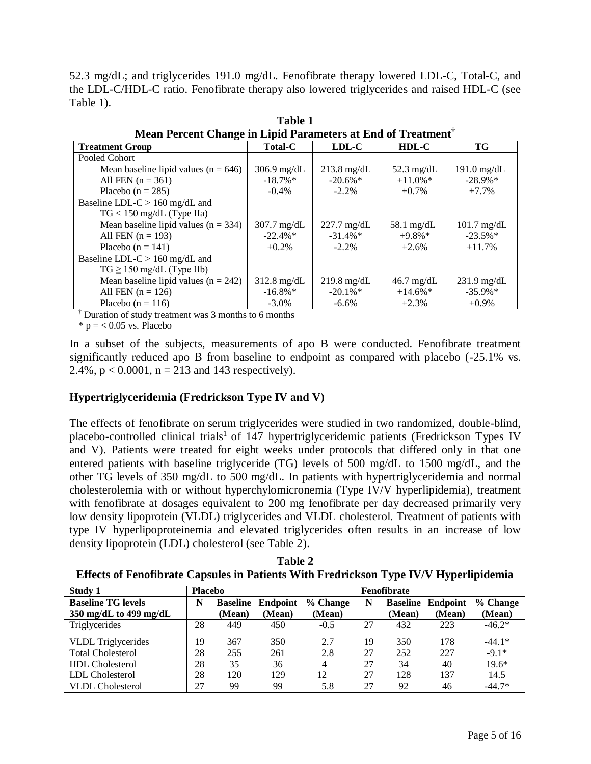52.3 mg/dL; and triglycerides 191.0 mg/dL. Fenofibrate therapy lowered LDL-C, Total-C, and the LDL-C/HDL-C ratio. Fenofibrate therapy also lowered triglycerides and raised HDL-C (see Table 1).

| Mean Percent Change in Lipid Parameters at End of Treatment |                |                       |                        |               |  |  |
|-------------------------------------------------------------|----------------|-----------------------|------------------------|---------------|--|--|
| <b>Treatment Group</b>                                      | <b>Total-C</b> | LDL-C                 | $HDL-C$                | TG            |  |  |
| Pooled Cohort                                               |                |                       |                        |               |  |  |
| Mean baseline lipid values ( $n = 646$ )                    | $306.9$ mg/dL  | $213.8 \text{ mg/dL}$ | 52.3 mg/dL             | $191.0$ mg/dL |  |  |
| All FEN $(n = 361)$                                         | $-18.7\%$      | $-20.6\%$             | $+11.0\%$ *            | $-28.9\%*$    |  |  |
| Placebo ( $n = 285$ )                                       | $-0.4\%$       | $-2.2\%$              | $+0.7\%$               | $+7.7%$       |  |  |
| Baseline LDL-C $> 160$ mg/dL and                            |                |                       |                        |               |  |  |
| $TG < 150$ mg/dL (Type IIa)                                 |                |                       |                        |               |  |  |
| Mean baseline lipid values $(n = 334)$                      | $307.7$ mg/dL  | $227.7 \text{ mg/dL}$ | $58.1$ mg/dL           | $101.7$ mg/dL |  |  |
| All FEN $(n = 193)$                                         | $-22.4\%$ *    | $-31.4\%*$            | $+9.8\%*$              | $-23.5\%$ *   |  |  |
| Placebo ( $n = 141$ )                                       | $+0.2%$        | $-2.2\%$              | $+2.6%$                | $+11.7%$      |  |  |
| Baseline LDL-C $> 160$ mg/dL and                            |                |                       |                        |               |  |  |
| $TG \ge 150$ mg/dL (Type IIb)                               |                |                       |                        |               |  |  |
| Mean baseline lipid values ( $n = 242$ )                    | $312.8$ mg/dL  | $219.8 \text{ mg/dL}$ | $46.7 \text{ mg/dL}$   | $231.9$ mg/dL |  |  |
| All FEN $(n = 126)$                                         | $-16.8\%*$     | $-20.1\%$ *           | $+14.6\%$ <sup>*</sup> | $-35.9\%*$    |  |  |
| Placebo ( $n = 116$ )                                       | $-3.0\%$       | $-6.6\%$              | $+2.3%$                | $+0.9\%$      |  |  |

**Table 1 Mean Percent Change in Lipid Parameters at End of Treatment†** 

**†** Duration of study treatment was 3 months to 6 months

 $*$  p = < 0.05 vs. Placebo

In a subset of the subjects, measurements of apo B were conducted. Fenofibrate treatment significantly reduced apo B from baseline to endpoint as compared with placebo (-25.1% vs. 2.4%,  $p < 0.0001$ ,  $n = 213$  and 143 respectively).

# **Hypertriglyceridemia (Fredrickson Type IV and V)**

The effects of fenofibrate on serum triglycerides were studied in two randomized, double-blind, placebo-controlled clinical trials<sup>1</sup> of 147 hypertriglyceridemic patients (Fredrickson Types IV and V). Patients were treated for eight weeks under protocols that differed only in that one entered patients with baseline triglyceride (TG) levels of 500 mg/dL to 1500 mg/dL, and the other TG levels of 350 mg/dL to 500 mg/dL. In patients with hypertriglyceridemia and normal cholesterolemia with or without hyperchylomicronemia (Type IV/V hyperlipidemia), treatment with fenofibrate at dosages equivalent to 200 mg fenofibrate per day decreased primarily very low density lipoprotein (VLDL) triglycerides and VLDL cholesterol. Treatment of patients with type IV hyperlipoproteinemia and elevated triglycerides often results in an increase of low density lipoprotein (LDL) cholesterol (see Table 2).

| Table 2                                                                               |
|---------------------------------------------------------------------------------------|
| Effects of Fenofibrate Capsules in Patients With Fredrickson Type IV/V Hyperlipidemia |

| Study 1                   | <b>Placebo</b> |                 |          |                |    | <b>Fenofibrate</b> |          |          |
|---------------------------|----------------|-----------------|----------|----------------|----|--------------------|----------|----------|
| <b>Baseline TG levels</b> | N              | <b>Baseline</b> | Endpoint | % Change       | N  | <b>Baseline</b>    | Endpoint | % Change |
| 350 mg/dL to 499 mg/dL    |                | (Mean)          | (Mean)   | (Mean)         |    | (Mean)             | (Mean)   | (Mean)   |
| Triglycerides             | 28             | 449             | 450      | $-0.5$         | 27 | 432                | 223      | $-46.2*$ |
| VLDL Triglycerides        | 19             | 367             | 350      | 2.7            | 19 | 350                | 178      | $-44.1*$ |
| <b>Total Cholesterol</b>  | 28             | 255             | 261      | 2.8            | 27 | 252                | 227      | $-9.1*$  |
| <b>HDL</b> Cholesterol    | 28             | 35              | 36       | $\overline{4}$ | 27 | 34                 | 40       | $19.6*$  |
| LDL Cholesterol           | 28             | 120             | 129      | 12             | 27 | 128                | 137      | 14.5     |
| <b>VLDL</b> Cholesterol   | 27             | 99              | 99       | 5.8            | 27 | 92                 | 46       | $-44.7*$ |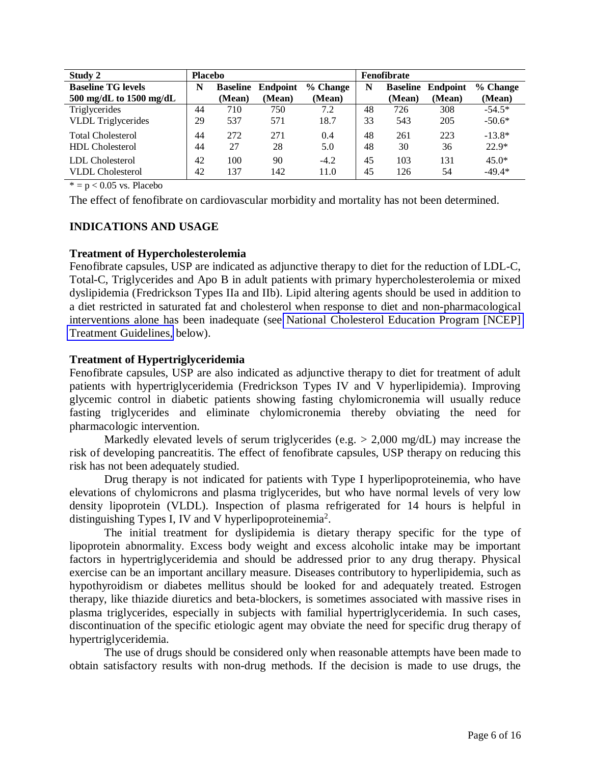| Study 2                                     | <b>Placebo</b> |                 |          |          |    | Fenofibrate     |                 |          |
|---------------------------------------------|----------------|-----------------|----------|----------|----|-----------------|-----------------|----------|
| <b>Baseline TG levels</b>                   | N              | <b>Baseline</b> | Endpoint | % Change | N  | <b>Baseline</b> | <b>Endpoint</b> | % Change |
| $500 \text{ mg/dL}$ to $1500 \text{ mg/dL}$ |                | (Mean)          | (Mean)   | (Mean)   |    | (Mean)          | (Mean)          | (Mean)   |
| Triglycerides                               | 44             | 710             | 750      | 7.2      | 48 | 726             | 308             | $-54.5*$ |
| <b>VLDL</b> Triglycerides                   | 29             | 537             | 571      | 18.7     | 33 | 543             | 205             | $-50.6*$ |
| <b>Total Cholesterol</b>                    | 44             | 272             | 271      | 0.4      | 48 | 261             | 223             | $-13.8*$ |
| <b>HDL</b> Cholesterol                      | 44             | 27              | 28       | 5.0      | 48 | 30              | 36              | $22.9*$  |
| LDL Cholesterol                             | 42             | 100             | 90       | $-4.2$   | 45 | 103             | 131             | $45.0*$  |
| <b>VLDL</b> Cholesterol                     | 42             | 137             | 142      | 11.0     | 45 | 126             | 54              | $-49.4*$ |

 $* = p < 0.05$  vs. Placebo

The effect of fenofibrate on cardiovascular morbidity and mortality has not been determined.

# **INDICATIONS AND USAGE**

#### **Treatment of Hypercholesterolemia**

Fenofibrate capsules, USP are indicated as adjunctive therapy to diet for the reduction of LDL-C, Total-C, Triglycerides and Apo B in adult patients with primary hypercholesterolemia or mixed dyslipidemia (Fredrickson Types IIa and IIb). Lipid altering agents should be used in addition to a diet restricted in saturated fat and cholesterol when response to diet and non-pharmacological interventions alone has been inadequate (see [National Cholesterol Education Program \[NCEP\]](#page-6-0)  [Treatment Guidelines,](#page-6-0) below).

#### **Treatment of Hypertriglyceridemia**

Fenofibrate capsules, USP are also indicated as adjunctive therapy to diet for treatment of adult patients with hypertriglyceridemia (Fredrickson Types IV and V hyperlipidemia). Improving glycemic control in diabetic patients showing fasting chylomicronemia will usually reduce fasting triglycerides and eliminate chylomicronemia thereby obviating the need for pharmacologic intervention.

Markedly elevated levels of serum triglycerides (e.g.  $> 2,000$  mg/dL) may increase the risk of developing pancreatitis. The effect of fenofibrate capsules, USP therapy on reducing this risk has not been adequately studied.

Drug therapy is not indicated for patients with Type I hyperlipoproteinemia, who have elevations of chylomicrons and plasma triglycerides, but who have normal levels of very low density lipoprotein (VLDL). Inspection of plasma refrigerated for 14 hours is helpful in distinguishing Types I, IV and V hyperlipoproteinemia<sup>2</sup>.

The initial treatment for dyslipidemia is dietary therapy specific for the type of lipoprotein abnormality. Excess body weight and excess alcoholic intake may be important factors in hypertriglyceridemia and should be addressed prior to any drug therapy. Physical exercise can be an important ancillary measure. Diseases contributory to hyperlipidemia, such as hypothyroidism or diabetes mellitus should be looked for and adequately treated. Estrogen therapy, like thiazide diuretics and beta-blockers, is sometimes associated with massive rises in plasma triglycerides, especially in subjects with familial hypertriglyceridemia. In such cases, discontinuation of the specific etiologic agent may obviate the need for specific drug therapy of hypertriglyceridemia.

The use of drugs should be considered only when reasonable attempts have been made to obtain satisfactory results with non-drug methods. If the decision is made to use drugs, the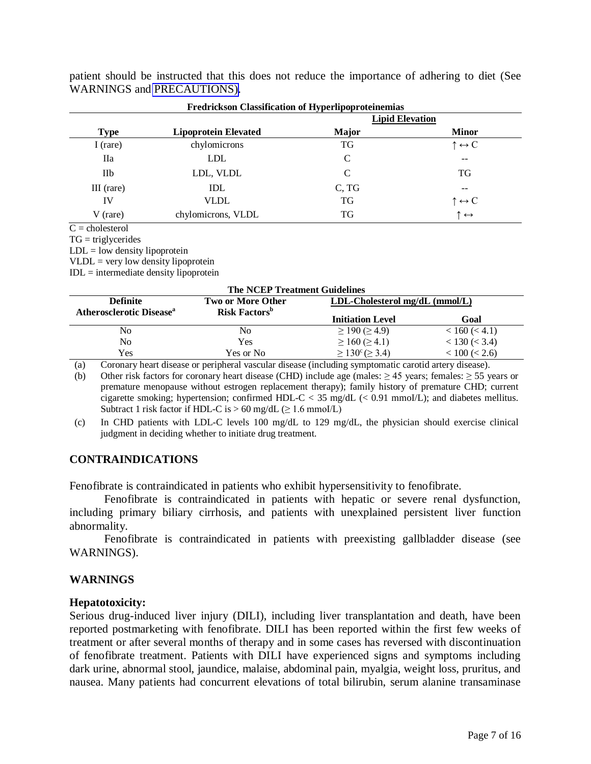|             |                             | <b>Lipid Elevation</b> |                              |
|-------------|-----------------------------|------------------------|------------------------------|
| <b>Type</b> | <b>Lipoprotein Elevated</b> | <b>Major</b>           | <b>Minor</b>                 |
| I (rare)    | chylomicrons                | TG                     | $\uparrow \leftrightarrow C$ |
| Пa          | LDL                         | C                      | $- -$                        |
| <b>IIb</b>  | LDL, VLDL                   | $\mathcal{C}$          | TG                           |
| III (rare)  | <b>IDL</b>                  | C, TG                  | --                           |
| IV          | VLDL                        | TG                     | $\uparrow \leftrightarrow C$ |
| V (rare)    | chylomicrons, VLDL          | TG                     | .<br>↑↔                      |

<span id="page-6-1"></span><span id="page-6-0"></span>patient should be instructed that this does not reduce the importance of adhering to diet (See WARNINGS and [PRECAUTIONS\).](#page-9-1)

 $\overline{C}$  = cholesterol

 $TG = triglycerides$ 

 $LDL = low density lipoprotein$ 

 $VLDL =$  very low density lipoprotein

 $IDL = intermediate density lipoprotein$ 

#### **The NCEP Treatment Guidelines**

| <b>Definite</b><br>Atherosclerotic Disease <sup>a</sup> | <b>Two or More Other</b>         | $LDL-Cholesterol$ mg/dL (mmol/L)  |                    |  |  |
|---------------------------------------------------------|----------------------------------|-----------------------------------|--------------------|--|--|
|                                                         | <b>Risk Factors</b> <sup>b</sup> | <b>Initiation Level</b>           | Goal               |  |  |
| No                                                      | No                               | $\geq$ 190 ( $\geq$ 4.9)          | < 160 (< 4.1)      |  |  |
| No                                                      | Yes                              | $\geq 160 \, (\geq 4.1)$          | < 130 (< 3.4)      |  |  |
| Yes                                                     | Yes or No                        | $\geq 130^{\circ}$ ( $\geq 3.4$ ) | $< 100 \ ( < 2.6)$ |  |  |

(a) Coronary heart disease or peripheral vascular disease (including symptomatic carotid artery disease).

(b) Other risk factors for coronary heart disease (CHD) include age (males:  $\geq$  45 years; females:  $\geq$  55 years or premature menopause without estrogen replacement therapy); family history of premature CHD; current cigarette smoking; hypertension; confirmed HDL-C < 35 mg/dL (< 0.91 mmoI/L); and diabetes mellitus. Subtract 1 risk factor if HDL-C is  $> 60$  mg/dL ( $\geq 1.6$  mmol/L)

(c) In CHD patients with LDL-C levels 100 mg/dL to 129 mg/dL, the physician should exercise clinical judgment in deciding whether to initiate drug treatment.

# **CONTRAINDICATIONS**

Fenofibrate is contraindicated in patients who exhibit hypersensitivity to fenofibrate.

Fenofibrate is contraindicated in patients with hepatic or severe renal dysfunction, including primary biliary cirrhosis, and patients with unexplained persistent liver function abnormality.

Fenofibrate is contraindicated in patients with preexisting gallbladder disease (see WARNINGS).

# **WARNINGS**

# **Hepatotoxicity:**

Serious drug-induced liver injury (DILI), including liver transplantation and death, have been reported postmarketing with fenofibrate. DILI has been reported within the first few weeks of treatment or after several months of therapy and in some cases has reversed with discontinuation of fenofibrate treatment. Patients with DILI have experienced signs and symptoms including dark urine, abnormal stool, jaundice, malaise, abdominal pain, myalgia, weight loss, pruritus, and nausea. Many patients had concurrent elevations of total bilirubin, serum alanine transaminase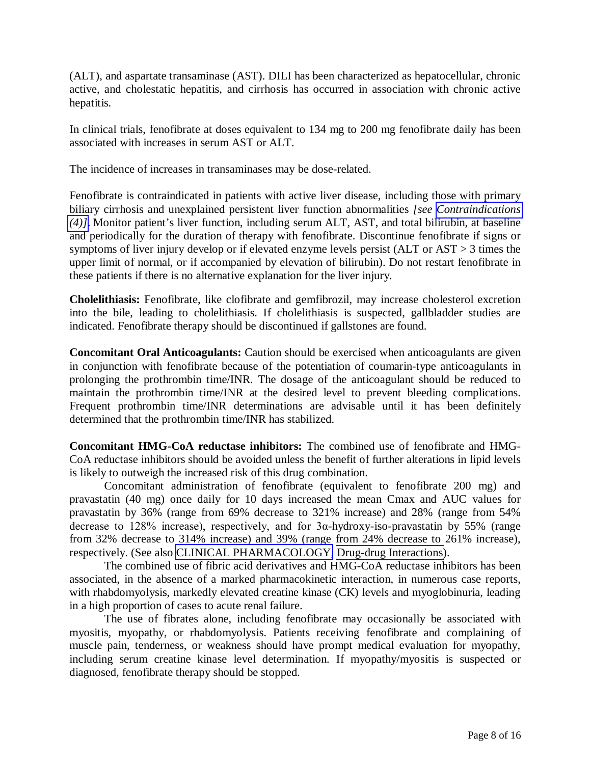(ALT), and aspartate transaminase (AST). DILI has been characterized as hepatocellular, chronic active, and cholestatic hepatitis, and cirrhosis has occurred in association with chronic active hepatitis.

In clinical trials, fenofibrate at doses equivalent to 134 mg to 200 mg fenofibrate daily has been associated with increases in serum AST or ALT.

The incidence of increases in transaminases may be dose-related.

Fenofibrate is contraindicated in patients with active liver disease, including those with primary biliary cirrhosis and unexplained persistent liver function abnormalities *[see [Contraindications](#page-6-0)  [\(4\)\]](#page-6-1)*. Monitor patient's liver function, including serum ALT, AST, and total bilirubin, at baseline and periodically for the duration of therapy with fenofibrate. Discontinue fenofibrate if signs or symptoms of liver injury develop or if elevated enzyme levels persist (ALT or AST > 3 times the upper limit of normal, or if accompanied by elevation of bilirubin). Do not restart fenofibrate in these patients if there is no alternative explanation for the liver injury.

**Cholelithiasis:** Fenofibrate, like clofibrate and gemfibrozil, may increase cholesterol excretion into the bile, leading to cholelithiasis. If cholelithiasis is suspected, gallbladder studies are indicated. Fenofibrate therapy should be discontinued if gallstones are found.

**Concomitant Oral Anticoagulants:** Caution should be exercised when anticoagulants are given in conjunction with fenofibrate because of the potentiation of coumarin-type anticoagulants in prolonging the prothrombin time/INR. The dosage of the anticoagulant should be reduced to maintain the prothrombin time/INR at the desired level to prevent bleeding complications. Frequent prothrombin time/INR determinations are advisable until it has been definitely determined that the prothrombin time/INR has stabilized.

**Concomitant HMG-CoA reductase inhibitors:** The combined use of fenofibrate and HMG-CoA reductase inhibitors should be avoided unless the benefit of further alterations in lipid levels is likely to outweigh the increased risk of this drug combination.

Concomitant administration of fenofibrate (equivalent to fenofibrate 200 mg) and pravastatin (40 mg) once daily for 10 days increased the mean Cmax and AUC values for pravastatin by 36% (range from 69% decrease to 321% increase) and 28% (range from 54% decrease to 128% increase), respectively, and for  $3\alpha$ -hydroxy-iso-pravastatin by 55% (range from 32% decrease to 314% increase) and 39% (range from 24% decrease to 261% increase), respectively. (See also [CLINICAL PHARMACOLOGY,](#page-0-0) [Drug-drug Interactions\)](#page-2-0).

The combined use of fibric acid derivatives and HMG-CoA reductase inhibitors has been associated, in the absence of a marked pharmacokinetic interaction, in numerous case reports, with rhabdomyolysis, markedly elevated creatine kinase (CK) levels and myoglobinuria, leading in a high proportion of cases to acute renal failure.

The use of fibrates alone, including fenofibrate may occasionally be associated with myositis, myopathy, or rhabdomyolysis. Patients receiving fenofibrate and complaining of muscle pain, tenderness, or weakness should have prompt medical evaluation for myopathy, including serum creatine kinase level determination. If myopathy/myositis is suspected or diagnosed, fenofibrate therapy should be stopped.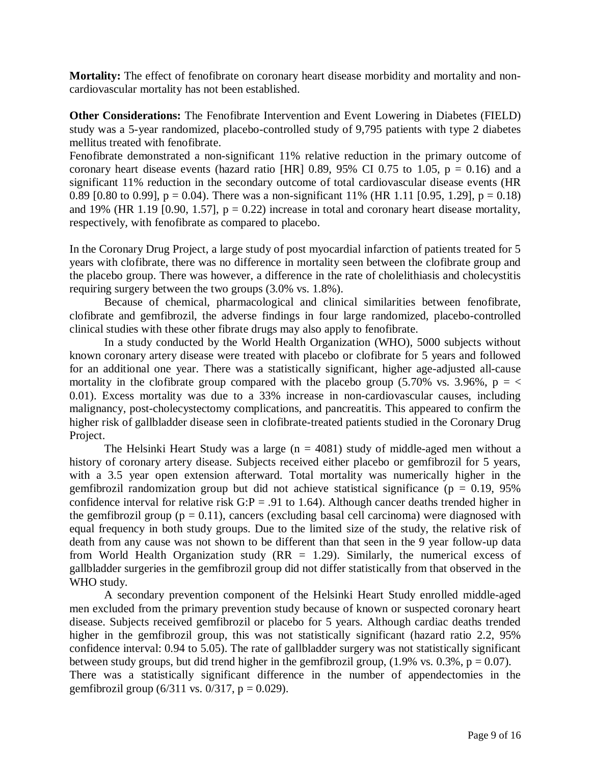**Mortality:** The effect of fenofibrate on coronary heart disease morbidity and mortality and noncardiovascular mortality has not been established.

**Other Considerations:** The Fenofibrate Intervention and Event Lowering in Diabetes (FIELD) study was a 5-year randomized, placebo-controlled study of 9,795 patients with type 2 diabetes mellitus treated with fenofibrate.

Fenofibrate demonstrated a non-significant 11% relative reduction in the primary outcome of coronary heart disease events (hazard ratio [HR] 0.89, 95% CI 0.75 to 1.05,  $p = 0.16$ ) and a significant 11% reduction in the secondary outcome of total cardiovascular disease events (HR 0.89 [0.80 to 0.99],  $p = 0.04$ ). There was a non-significant 11% (HR 1.11 [0.95, 1.29],  $p = 0.18$ ) and 19% (HR 1.19 [0.90, 1.57],  $p = 0.22$ ) increase in total and coronary heart disease mortality, respectively, with fenofibrate as compared to placebo.

In the Coronary Drug Project, a large study of post myocardial infarction of patients treated for 5 years with clofibrate, there was no difference in mortality seen between the clofibrate group and the placebo group. There was however, a difference in the rate of cholelithiasis and cholecystitis requiring surgery between the two groups (3.0% vs. 1.8%).

Because of chemical, pharmacological and clinical similarities between fenofibrate, clofibrate and gemfibrozil, the adverse findings in four large randomized, placebo-controlled clinical studies with these other fibrate drugs may also apply to fenofibrate.

In a study conducted by the World Health Organization (WHO), 5000 subjects without known coronary artery disease were treated with placebo or clofibrate for 5 years and followed for an additional one year. There was a statistically significant, higher age-adjusted all-cause mortality in the clofibrate group compared with the placebo group (5.70% vs. 3.96%,  $p = \langle$ 0.01). Excess mortality was due to a 33% increase in non-cardiovascular causes, including malignancy, post-cholecystectomy complications, and pancreatitis. This appeared to confirm the higher risk of gallbladder disease seen in clofibrate-treated patients studied in the Coronary Drug Project.

The Helsinki Heart Study was a large  $(n = 4081)$  study of middle-aged men without a history of coronary artery disease. Subjects received either placebo or gemfibrozil for 5 years, with a 3.5 year open extension afterward. Total mortality was numerically higher in the gemfibrozil randomization group but did not achieve statistical significance ( $p = 0.19$ , 95%) confidence interval for relative risk  $G: P = .91$  to 1.64). Although cancer deaths trended higher in the gemfibrozil group ( $p = 0.11$ ), cancers (excluding basal cell carcinoma) were diagnosed with equal frequency in both study groups. Due to the limited size of the study, the relative risk of death from any cause was not shown to be different than that seen in the 9 year follow-up data from World Health Organization study  $(RR = 1.29)$ . Similarly, the numerical excess of gallbladder surgeries in the gemfibrozil group did not differ statistically from that observed in the WHO study.

A secondary prevention component of the Helsinki Heart Study enrolled middle-aged men excluded from the primary prevention study because of known or suspected coronary heart disease. Subjects received gemfibrozil or placebo for 5 years. Although cardiac deaths trended higher in the gemfibrozil group, this was not statistically significant (hazard ratio 2.2, 95% confidence interval: 0.94 to 5.05). The rate of gallbladder surgery was not statistically significant between study groups, but did trend higher in the gemfibrozil group,  $(1.9\% \text{ vs. } 0.3\%, \text{ p} = 0.07)$ . There was a statistically significant difference in the number of appendectomies in the gemfibrozil group  $(6/311 \text{ vs. } 0/317, p = 0.029)$ .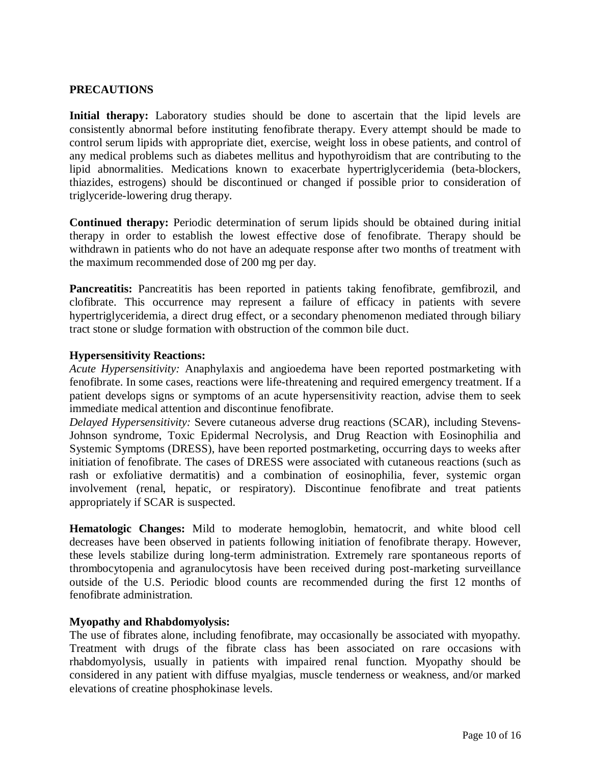# <span id="page-9-1"></span><span id="page-9-0"></span>**PRECAUTIONS**

**Initial therapy:** Laboratory studies should be done to ascertain that the lipid levels are consistently abnormal before instituting fenofibrate therapy. Every attempt should be made to control serum lipids with appropriate diet, exercise, weight loss in obese patients, and control of any medical problems such as diabetes mellitus and hypothyroidism that are contributing to the lipid abnormalities. Medications known to exacerbate hypertriglyceridemia (beta-blockers, thiazides, estrogens) should be discontinued or changed if possible prior to consideration of triglyceride-lowering drug therapy.

**Continued therapy:** Periodic determination of serum lipids should be obtained during initial therapy in order to establish the lowest effective dose of fenofibrate. Therapy should be withdrawn in patients who do not have an adequate response after two months of treatment with the maximum recommended dose of 200 mg per day.

Pancreatitis: Pancreatitis has been reported in patients taking fenofibrate, gemfibrozil, and clofibrate. This occurrence may represent a failure of efficacy in patients with severe hypertriglyceridemia, a direct drug effect, or a secondary phenomenon mediated through biliary tract stone or sludge formation with obstruction of the common bile duct.

#### **Hypersensitivity Reactions:**

*Acute Hypersensitivity:* Anaphylaxis and angioedema have been reported postmarketing with fenofibrate. In some cases, reactions were life-threatening and required emergency treatment. If a patient develops signs or symptoms of an acute hypersensitivity reaction, advise them to seek immediate medical attention and discontinue fenofibrate.

*Delayed Hypersensitivity:* Severe cutaneous adverse drug reactions (SCAR), including Stevens-Johnson syndrome, Toxic Epidermal Necrolysis, and Drug Reaction with Eosinophilia and Systemic Symptoms (DRESS), have been reported postmarketing, occurring days to weeks after initiation of fenofibrate. The cases of DRESS were associated with cutaneous reactions (such as rash or exfoliative dermatitis) and a combination of eosinophilia, fever, systemic organ involvement (renal, hepatic, or respiratory). Discontinue fenofibrate and treat patients appropriately if SCAR is suspected.

**Hematologic Changes:** Mild to moderate hemoglobin, hematocrit, and white blood cell decreases have been observed in patients following initiation of fenofibrate therapy. However, these levels stabilize during long-term administration. Extremely rare spontaneous reports of thrombocytopenia and agranulocytosis have been received during post-marketing surveillance outside of the U.S. Periodic blood counts are recommended during the first 12 months of fenofibrate administration.

#### **Myopathy and Rhabdomyolysis:**

The use of fibrates alone, including fenofibrate, may occasionally be associated with myopathy. Treatment with drugs of the fibrate class has been associated on rare occasions with rhabdomyolysis, usually in patients with impaired renal function. Myopathy should be considered in any patient with diffuse myalgias, muscle tenderness or weakness, and/or marked elevations of creatine phosphokinase levels.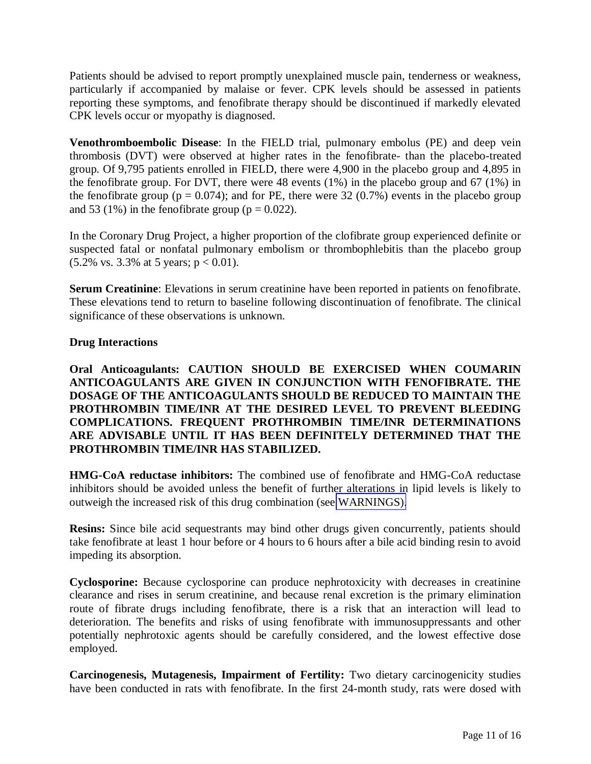Patients should be advised to report promptly unexplained muscle pain, tenderness or weakness, particularly if accompanied by malaise or fever. CPK levels should be assessed in patients reporting these symptoms, and fenofibrate therapy should be discontinued if markedly elevated CPK levels occur or myopathy is diagnosed.

**Venothromboembolic Disease**: In the FIELD trial, pulmonary embolus (PE) and deep vein thrombosis (DVT) were observed at higher rates in the fenofibrate- than the placebo-treated group. Of 9,795 patients enrolled in FIELD, there were 4,900 in the placebo group and 4,895 in the fenofibrate group. For DVT, there were 48 events (1%) in the placebo group and 67 (1%) in the fenofibrate group ( $p = 0.074$ ); and for PE, there were 32 (0.7%) events in the placebo group and 53 (1%) in the fenofibrate group ( $p = 0.022$ ).

In the Coronary Drug Project, a higher proportion of the clofibrate group experienced definite or suspected fatal or nonfatal pulmonary embolism or thrombophlebitis than the placebo group  $(5.2\% \text{ vs. } 3.3\% \text{ at } 5 \text{ years}; \text{ p} < 0.01).$ 

**Serum Creatinine**: Elevations in serum creatinine have been reported in patients on fenofibrate. These elevations tend to return to baseline following discontinuation of fenofibrate. The clinical significance of these observations is unknown.

# **Drug Interactions**

**Oral Anticoagulants: CAUTION SHOULD BE EXERCISED WHEN COUMARIN ANTICOAGULANTS ARE GIVEN IN CONJUNCTION WITH FENOFIBRATE. THE DOSAGE OF THE ANTICOAGULANTS SHOULD BE REDUCED TO MAINTAIN THE PROTHROMBIN TIME/INR AT THE DESIRED LEVEL TO PREVENT BLEEDING COMPLICATIONS. FREQUENT PROTHROMBIN TIME/INR DETERMINATIONS ARE ADVISABLE UNTIL IT HAS BEEN DEFINITELY DETERMINED THAT THE PROTHROMBIN TIME/INR HAS STABILIZED.** 

**HMG-CoA reductase inhibitors:** The combined use of fenofibrate and HMG-CoA reductase inhibitors should be avoided unless the benefit of further alterations in lipid levels is likely to outweigh the increased risk of this drug combination (see [WARNINGS\).](#page-6-1)

**Resins:** Since bile acid sequestrants may bind other drugs given concurrently, patients should take fenofibrate at least 1 hour before or 4 hours to 6 hours after a bile acid binding resin to avoid impeding its absorption.

**Cyclosporine:** Because cyclosporine can produce nephrotoxicity with decreases in creatinine clearance and rises in serum creatinine, and because renal excretion is the primary elimination route of fibrate drugs including fenofibrate, there is a risk that an interaction will lead to deterioration. The benefits and risks of using fenofibrate with immunosuppressants and other potentially nephrotoxic agents should be carefully considered, and the lowest effective dose employed.

**Carcinogenesis, Mutagenesis, Impairment of Fertility:** Two dietary carcinogenicity studies have been conducted in rats with fenofibrate. In the first 24-month study, rats were dosed with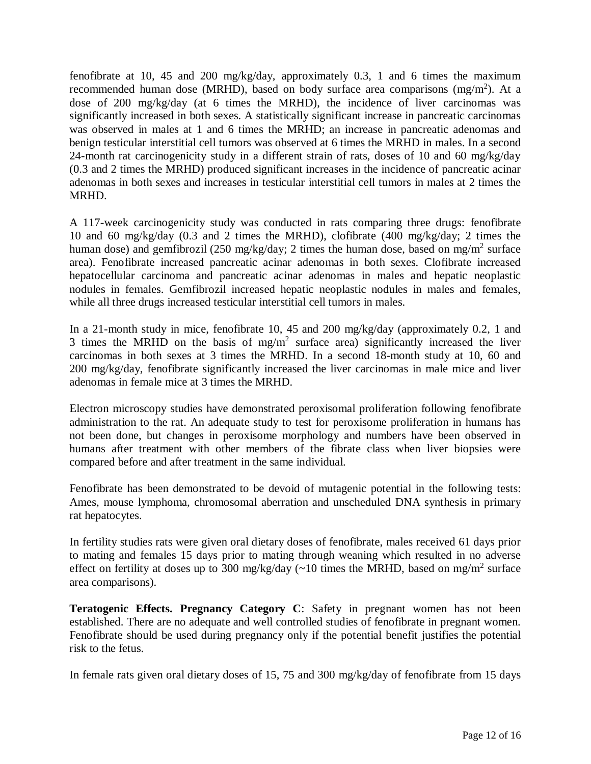fenofibrate at 10, 45 and 200 mg/kg/day, approximately 0.3, 1 and 6 times the maximum recommended human dose (MRHD), based on body surface area comparisons (mg/m<sup>2</sup>). At a dose of 200 mg/kg/day (at 6 times the MRHD), the incidence of liver carcinomas was significantly increased in both sexes. A statistically significant increase in pancreatic carcinomas was observed in males at 1 and 6 times the MRHD; an increase in pancreatic adenomas and benign testicular interstitial cell tumors was observed at 6 times the MRHD in males. In a second 24-month rat carcinogenicity study in a different strain of rats, doses of 10 and 60 mg/kg/day (0.3 and 2 times the MRHD) produced significant increases in the incidence of pancreatic acinar adenomas in both sexes and increases in testicular interstitial cell tumors in males at 2 times the MRHD.

A 117-week carcinogenicity study was conducted in rats comparing three drugs: fenofibrate 10 and 60 mg/kg/day (0.3 and 2 times the MRHD), clofibrate (400 mg/kg/day; 2 times the human dose) and gemfibrozil (250 mg/kg/day; 2 times the human dose, based on mg/m<sup>2</sup> surface area). Fenofibrate increased pancreatic acinar adenomas in both sexes. Clofibrate increased hepatocellular carcinoma and pancreatic acinar adenomas in males and hepatic neoplastic nodules in females. Gemfibrozil increased hepatic neoplastic nodules in males and females, while all three drugs increased testicular interstitial cell tumors in males.

In a 21-month study in mice, fenofibrate 10, 45 and 200 mg/kg/day (approximately 0.2, 1 and 3 times the MRHD on the basis of  $mg/m^2$  surface area) significantly increased the liver carcinomas in both sexes at 3 times the MRHD. In a second 18-month study at 10, 60 and 200 mg/kg/day, fenofibrate significantly increased the liver carcinomas in male mice and liver adenomas in female mice at 3 times the MRHD.

Electron microscopy studies have demonstrated peroxisomal proliferation following fenofibrate administration to the rat. An adequate study to test for peroxisome proliferation in humans has not been done, but changes in peroxisome morphology and numbers have been observed in humans after treatment with other members of the fibrate class when liver biopsies were compared before and after treatment in the same individual.

Fenofibrate has been demonstrated to be devoid of mutagenic potential in the following tests: Ames, mouse lymphoma, chromosomal aberration and unscheduled DNA synthesis in primary rat hepatocytes.

In fertility studies rats were given oral dietary doses of fenofibrate, males received 61 days prior to mating and females 15 days prior to mating through weaning which resulted in no adverse effect on fertility at doses up to 300 mg/kg/day  $\left(\sim 10\right)$  times the MRHD, based on mg/m<sup>2</sup> surface area comparisons).

**Teratogenic Effects. Pregnancy Category C**: Safety in pregnant women has not been established. There are no adequate and well controlled studies of fenofibrate in pregnant women. Fenofibrate should be used during pregnancy only if the potential benefit justifies the potential risk to the fetus.

In female rats given oral dietary doses of 15, 75 and 300 mg/kg/day of fenofibrate from 15 days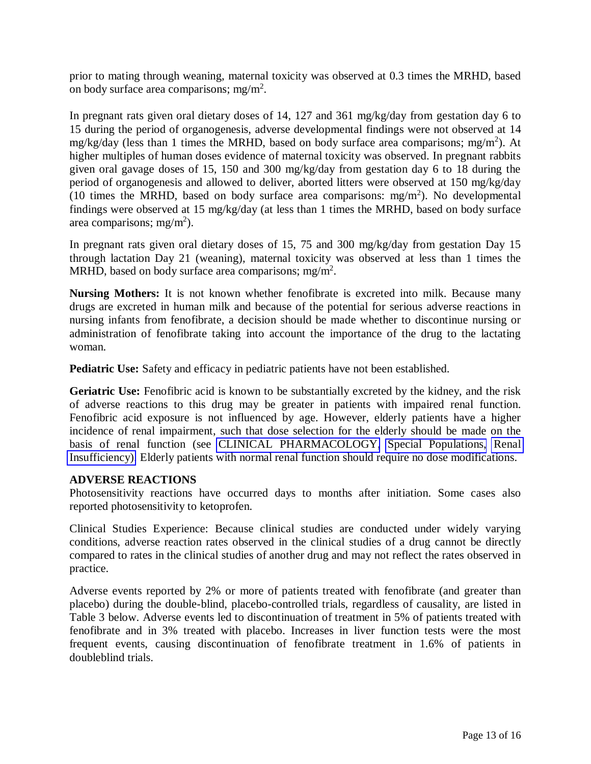prior to mating through weaning, maternal toxicity was observed at 0.3 times the MRHD, based on body surface area comparisons; mg/m<sup>2</sup>.

In pregnant rats given oral dietary doses of 14, 127 and 361 mg/kg/day from gestation day 6 to 15 during the period of organogenesis, adverse developmental findings were not observed at 14 mg/kg/day (less than 1 times the MRHD, based on body surface area comparisons; mg/m<sup>2</sup> ). At higher multiples of human doses evidence of maternal toxicity was observed. In pregnant rabbits given oral gavage doses of 15, 150 and 300 mg/kg/day from gestation day 6 to 18 during the period of organogenesis and allowed to deliver, aborted litters were observed at 150 mg/kg/day (10 times the MRHD, based on body surface area comparisons:  $mg/m<sup>2</sup>$ ). No developmental findings were observed at 15 mg/kg/day (at less than 1 times the MRHD, based on body surface area comparisons; mg/m<sup>2</sup>).

In pregnant rats given oral dietary doses of 15, 75 and 300 mg/kg/day from gestation Day 15 through lactation Day 21 (weaning), maternal toxicity was observed at less than 1 times the MRHD, based on body surface area comparisons; mg/m<sup>2</sup>.

**Nursing Mothers:** It is not known whether fenofibrate is excreted into milk. Because many drugs are excreted in human milk and because of the potential for serious adverse reactions in nursing infants from fenofibrate, a decision should be made whether to discontinue nursing or administration of fenofibrate taking into account the importance of the drug to the lactating woman.

**Pediatric Use:** Safety and efficacy in pediatric patients have not been established.

Geriatric Use: Fenofibric acid is known to be substantially excreted by the kidney, and the risk of adverse reactions to this drug may be greater in patients with impaired renal function. Fenofibric acid exposure is not influenced by age. However, elderly patients have a higher incidence of renal impairment, such that dose selection for the elderly should be made on the basis of renal function (see [CLINICAL PHARMACOLOGY,](#page-0-0) [Special Populations,](#page-2-0) [Renal](#page-2-1)  [Insufficiency\).](#page-2-2) Elderly patients with normal renal function should require no dose modifications.

# **ADVERSE REACTIONS**

Photosensitivity reactions have occurred days to months after initiation. Some cases also reported photosensitivity to ketoprofen.

Clinical Studies Experience: Because clinical studies are conducted under widely varying conditions, adverse reaction rates observed in the clinical studies of a drug cannot be directly compared to rates in the clinical studies of another drug and may not reflect the rates observed in practice.

Adverse events reported by 2% or more of patients treated with fenofibrate (and greater than placebo) during the double-blind, placebo-controlled trials, regardless of causality, are listed in Table 3 below. Adverse events led to discontinuation of treatment in 5% of patients treated with fenofibrate and in 3% treated with placebo. Increases in liver function tests were the most frequent events, causing discontinuation of fenofibrate treatment in 1.6% of patients in doubleblind trials.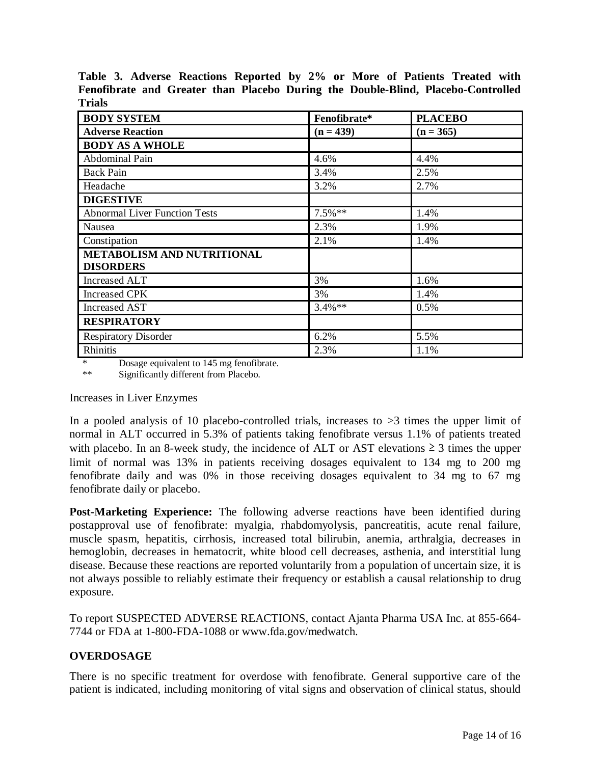| <b>BODY SYSTEM</b>                   | Fenofibrate* | <b>PLACEBO</b> |  |  |  |
|--------------------------------------|--------------|----------------|--|--|--|
| <b>Adverse Reaction</b>              | $(n = 439)$  | $(n = 365)$    |  |  |  |
| <b>BODY AS A WHOLE</b>               |              |                |  |  |  |
| Abdominal Pain                       | 4.6%         | 4.4%           |  |  |  |
| <b>Back Pain</b>                     | 3.4%         | 2.5%           |  |  |  |
| Headache                             | 3.2%         | 2.7%           |  |  |  |
| <b>DIGESTIVE</b>                     |              |                |  |  |  |
| <b>Abnormal Liver Function Tests</b> | $7.5\%$ **   | 1.4%           |  |  |  |
| Nausea                               | 2.3%         | 1.9%           |  |  |  |
| Constipation                         | 2.1%         | 1.4%           |  |  |  |
| <b>METABOLISM AND NUTRITIONAL</b>    |              |                |  |  |  |
| <b>DISORDERS</b>                     |              |                |  |  |  |
| <b>Increased ALT</b>                 | 3%           | 1.6%           |  |  |  |
| <b>Increased CPK</b>                 | 3%           | 1.4%           |  |  |  |
| <b>Increased AST</b>                 | $3.4\%**$    | 0.5%           |  |  |  |
| <b>RESPIRATORY</b>                   |              |                |  |  |  |
| <b>Respiratory Disorder</b>          | 6.2%         | 5.5%           |  |  |  |
| Rhinitis                             | 2.3%         | 1.1%           |  |  |  |

**Table 3. Adverse Reactions Reported by 2% or More of Patients Treated with Fenofibrate and Greater than Placebo During the Double-Blind, Placebo-Controlled Trials** 

\* Dosage equivalent to 145 mg fenofibrate.<br>
\*\* Significantly different from Placebo

Significantly different from Placebo.

Increases in Liver Enzymes

In a pooled analysis of 10 placebo-controlled trials, increases to  $>3$  times the upper limit of normal in ALT occurred in 5.3% of patients taking fenofibrate versus 1.1% of patients treated with placebo. In an 8-week study, the incidence of ALT or AST elevations  $\geq 3$  times the upper limit of normal was 13% in patients receiving dosages equivalent to 134 mg to 200 mg fenofibrate daily and was 0% in those receiving dosages equivalent to 34 mg to 67 mg fenofibrate daily or placebo.

**Post-Marketing Experience:** The following adverse reactions have been identified during postapproval use of fenofibrate: myalgia, rhabdomyolysis, pancreatitis, acute renal failure, muscle spasm, hepatitis, cirrhosis, increased total bilirubin, anemia, arthralgia, decreases in hemoglobin, decreases in hematocrit, white blood cell decreases, asthenia, and interstitial lung disease. Because these reactions are reported voluntarily from a population of uncertain size, it is not always possible to reliably estimate their frequency or establish a causal relationship to drug exposure.

To report SUSPECTED ADVERSE REACTIONS, contact Ajanta Pharma USA Inc. at 855-664- 7744 or FDA at 1-800-FDA-1088 or www.fda.gov/medwatch.

# **OVERDOSAGE**

There is no specific treatment for overdose with fenofibrate. General supportive care of the patient is indicated, including monitoring of vital signs and observation of clinical status, should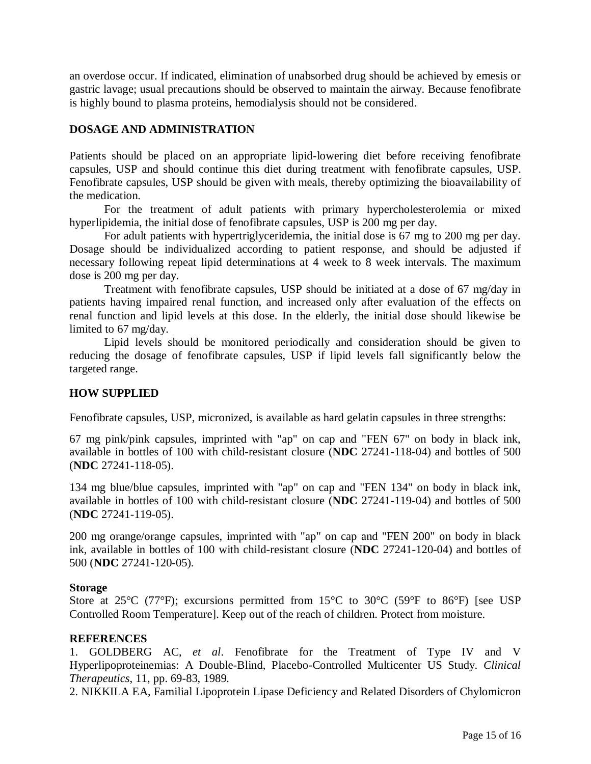an overdose occur. If indicated, elimination of unabsorbed drug should be achieved by emesis or gastric lavage; usual precautions should be observed to maintain the airway. Because fenofibrate is highly bound to plasma proteins, hemodialysis should not be considered.

# **DOSAGE AND ADMINISTRATION**

Patients should be placed on an appropriate lipid-lowering diet before receiving fenofibrate capsules, USP and should continue this diet during treatment with fenofibrate capsules, USP. Fenofibrate capsules, USP should be given with meals, thereby optimizing the bioavailability of the medication.

For the treatment of adult patients with primary hypercholesterolemia or mixed hyperlipidemia, the initial dose of fenofibrate capsules, USP is 200 mg per day.

For adult patients with hypertriglyceridemia, the initial dose is 67 mg to 200 mg per day. Dosage should be individualized according to patient response, and should be adjusted if necessary following repeat lipid determinations at 4 week to 8 week intervals. The maximum dose is 200 mg per day.

Treatment with fenofibrate capsules, USP should be initiated at a dose of 67 mg/day in patients having impaired renal function, and increased only after evaluation of the effects on renal function and lipid levels at this dose. In the elderly, the initial dose should likewise be limited to 67 mg/day.

Lipid levels should be monitored periodically and consideration should be given to reducing the dosage of fenofibrate capsules, USP if lipid levels fall significantly below the targeted range.

# **HOW SUPPLIED**

Fenofibrate capsules, USP, micronized, is available as hard gelatin capsules in three strengths:

67 mg pink/pink capsules, imprinted with "ap" on cap and "FEN 67" on body in black ink, available in bottles of 100 with child-resistant closure (**NDC** 27241-118-04) and bottles of 500 (**NDC** 27241-118-05).

134 mg blue/blue capsules, imprinted with "ap" on cap and "FEN 134" on body in black ink, available in bottles of 100 with child-resistant closure (**NDC** 27241-119-04) and bottles of 500 (**NDC** 27241-119-05).

200 mg orange/orange capsules, imprinted with "ap" on cap and "FEN 200" on body in black ink, available in bottles of 100 with child-resistant closure (**NDC** 27241-120-04) and bottles of 500 (**NDC** 27241-120-05).

# **Storage**

Store at 25°C (77°F); excursions permitted from 15°C to 30°C (59°F to 86°F) [see USP Controlled Room Temperature]. Keep out of the reach of children. Protect from moisture.

# **REFERENCES**

1. GOLDBERG AC, *et al*. Fenofibrate for the Treatment of Type IV and V Hyperlipoproteinemias: A Double-Blind, Placebo-Controlled Multicenter US Study. *Clinical Therapeutics*, 11, pp. 69-83, 1989.

2. NIKKILA EA, Familial Lipoprotein Lipase Deficiency and Related Disorders of Chylomicron